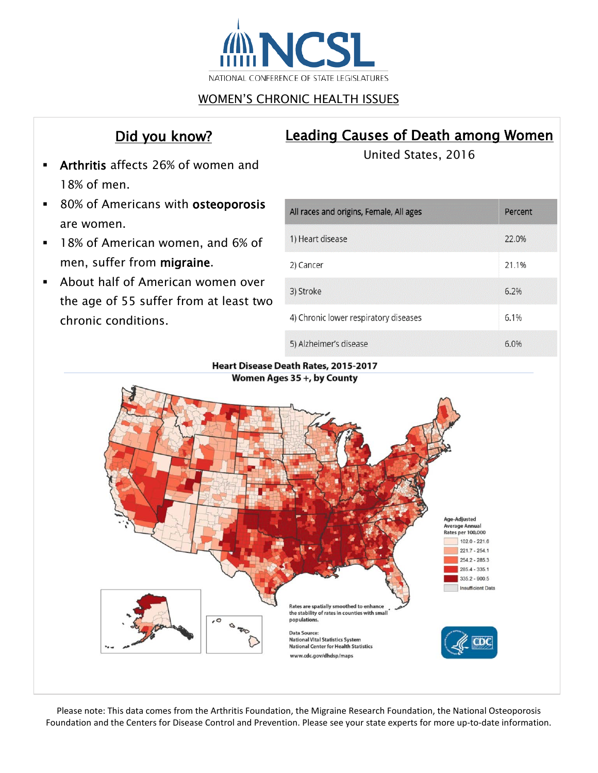

## WOMEN'S CHRONIC HEALTH ISSUES

## Did you know?

# Leading Causes of Death among Women

- Arthritis affects 26% of women and 18% of men.
- 80% of Americans with osteoporosis are women.
- **18% of American women, and 6% of** men, suffer from migraine.
- About half of American women over the age of 55 suffer from at least two chronic conditions.

United States, 2016

| All races and origins, Female, All ages | Percent |
|-----------------------------------------|---------|
| 1) Heart disease                        | 22.0%   |
| 2) Cancer                               | 21.1%   |
| 3) Stroke                               | 6.2%    |
| 4) Chronic lower respiratory diseases   | 6.1%    |
| 5) Alzheimer's disease                  | 6.0%    |

Heart Disease Death Rates, 2015-2017 Women Ages 35 +, by County



Please note: This data comes from the Arthritis Foundation, the Migraine Research Foundation, the National Osteoporosis Foundation and the Centers for Disease Control and Prevention. Please see your state experts for more up-to-date information.